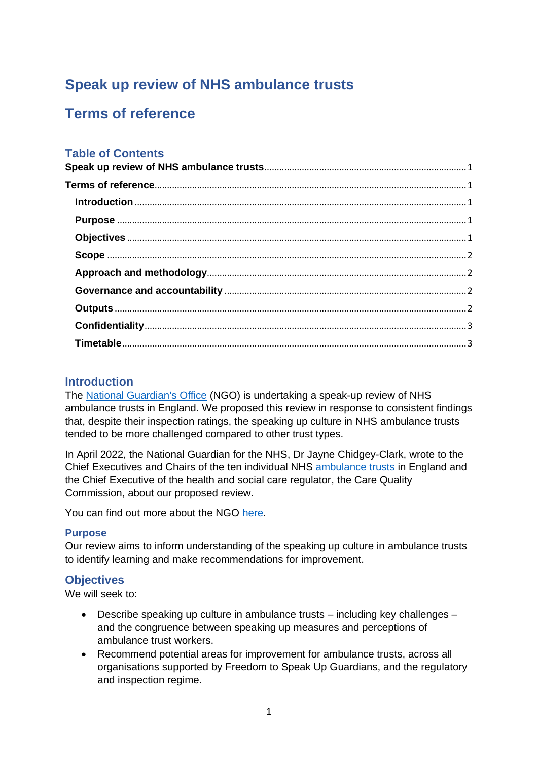# <span id="page-0-0"></span>**Speak up review of NHS ambulance trusts**

# <span id="page-0-1"></span>**Terms of reference**

## **Table of Contents**

## <span id="page-0-2"></span>**Introduction**

The [National Guardian's Office](https://nationalguardian.org.uk/learning-resources/speaking-up-data/) (NGO) is undertaking a speak-up review of NHS ambulance trusts in England. We proposed this review in response to consistent findings that, despite their inspection ratings, the speaking up culture in NHS ambulance trusts tended to be more challenged compared to other trust types.

In April 2022, the National Guardian for the NHS, Dr Jayne Chidgey-Clark, wrote to the Chief Executives and Chairs of the ten individual NHS [ambulance trusts](https://aace.org.uk/uk-ambulance-service/) in England and the Chief Executive of the health and social care regulator, the Care Quality Commission, about our proposed review.

You can find out more about the NGO [here.](https://nationalguardian.org.uk/learning-resources/speaking-up-data/)

### <span id="page-0-3"></span>**Purpose**

Our review aims to inform understanding of the speaking up culture in ambulance trusts to identify learning and make recommendations for improvement.

## <span id="page-0-4"></span>**Objectives**

We will seek to:

- Describe speaking up culture in ambulance trusts including key challenges and the congruence between speaking up measures and perceptions of ambulance trust workers.
- Recommend potential areas for improvement for ambulance trusts, across all organisations supported by Freedom to Speak Up Guardians, and the regulatory and inspection regime.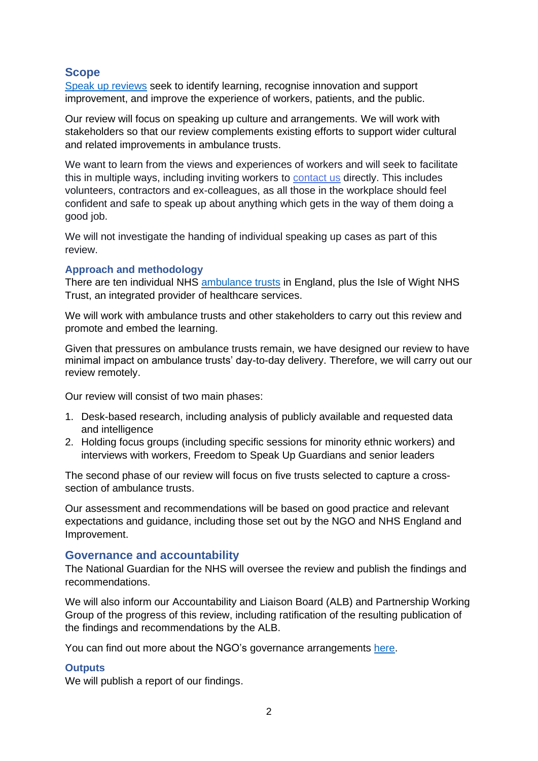## <span id="page-1-0"></span>**Scope**

[Speak up reviews](https://nationalguardian.org.uk/learning-resources/speaking-up-reviews/) seek to identify learning, recognise innovation and support improvement, and improve the experience of workers, patients, and the public.

Our review will focus on speaking up culture and arrangements. We will work with stakeholders so that our review complements existing efforts to support wider cultural and related improvements in ambulance trusts.

We want to learn from the views and experiences of workers and will seek to facilitate this in multiple ways, including inviting workers to [contact us](https://nationalguardian.org.uk/about-us/contact-us/) directly. This includes volunteers, contractors and ex-colleagues, as all those in the workplace should feel confident and safe to speak up about anything which gets in the way of them doing a good job.

We will not investigate the handing of individual speaking up cases as part of this review.

#### <span id="page-1-1"></span>**Approach and methodology**

There are ten individual NHS [ambulance trusts](https://aace.org.uk/uk-ambulance-service/) in England, plus the Isle of Wight NHS Trust, an integrated provider of healthcare services.

We will work with ambulance trusts and other stakeholders to carry out this review and promote and embed the learning.

Given that pressures on ambulance trusts remain, we have designed our review to have minimal impact on ambulance trusts' day-to-day delivery. Therefore, we will carry out our review remotely.

Our review will consist of two main phases:

- 1. Desk-based research, including analysis of publicly available and requested data and intelligence
- 2. Holding focus groups (including specific sessions for minority ethnic workers) and interviews with workers, Freedom to Speak Up Guardians and senior leaders

The second phase of our review will focus on five trusts selected to capture a crosssection of ambulance trusts.

Our assessment and recommendations will be based on good practice and relevant expectations and guidance, including those set out by the NGO and NHS England and Improvement.

### <span id="page-1-2"></span>**Governance and accountability**

The National Guardian for the NHS will oversee the review and publish the findings and recommendations.

We will also inform our Accountability and Liaison Board (ALB) and Partnership Working Group of the progress of this review, including ratification of the resulting publication of the findings and recommendations by the ALB.

You can find out more about the NGO's governance arrangements [here.](https://nationalguardian.org.uk/about-us/governance/)

#### <span id="page-1-3"></span>**Outputs**

We will publish a report of our findings.